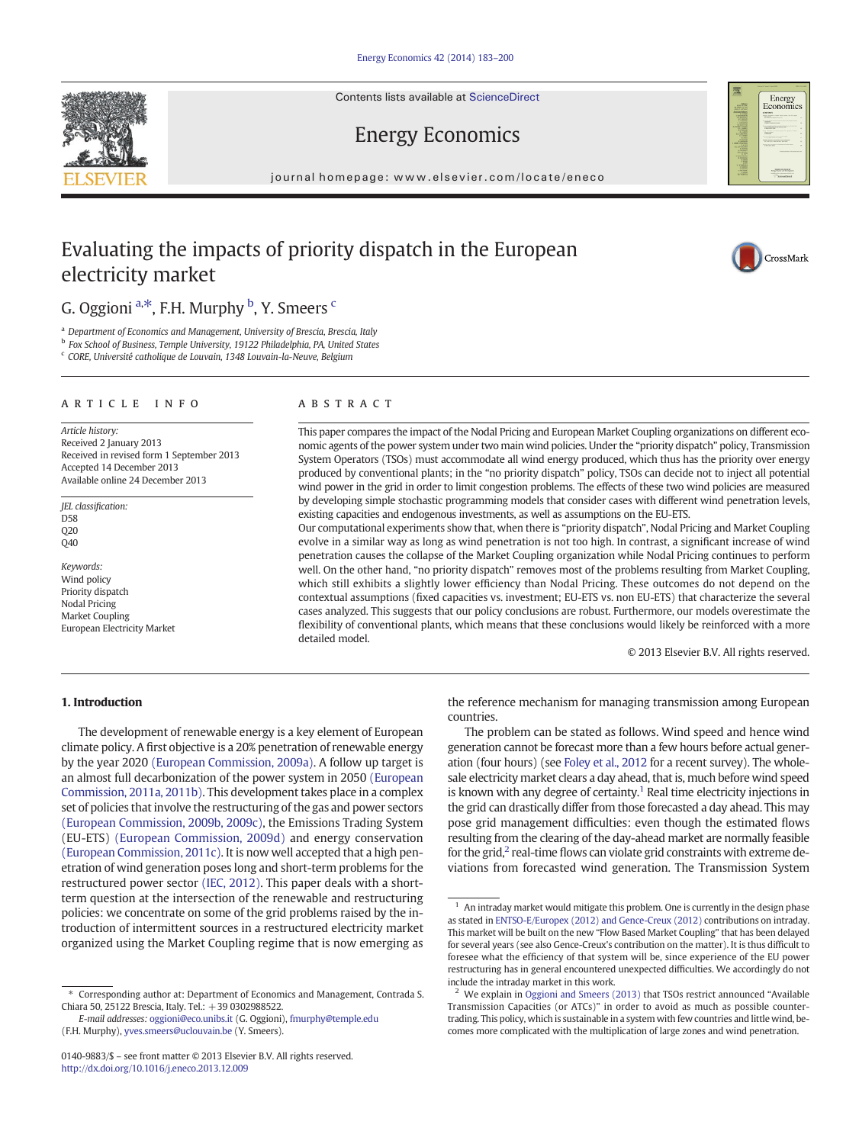Contents lists available at ScienceDirect

## Energy Economics

journal homepage: www.elsevier.com/locate/eneco

## Evaluating the impacts of priority dispatch in the European electricity market

## G. Oggioni <sup>a,\*</sup>, F.H. Murphy <sup>b</sup>, Y. Smeers <sup>c</sup>

<sup>a</sup> Department of Economics and Management, University of Brescia, Brescia, Italy

<sup>b</sup> Fox School of Business, Temple University, 19122 Philadelphia, PA, United States

<sup>c</sup> CORE, Université catholique de Louvain, 1348 Louvain-la-Neuve, Belgium

#### article info abstract

Article history: Received 2 January 2013 Received in revised form 1 September 2013 Accepted 14 December 2013 Available online 24 December 2013

JEL classification: D58 Q20 Q40

Keywords: Wind policy Priority dispatch Nodal Pricing Market Coupling European Electricity Market

This paper compares the impact of the Nodal Pricing and European Market Coupling organizations on different economic agents of the power system under two main wind policies. Under the "priority dispatch" policy, Transmission System Operators (TSOs) must accommodate all wind energy produced, which thus has the priority over energy produced by conventional plants; in the "no priority dispatch" policy, TSOs can decide not to inject all potential wind power in the grid in order to limit congestion problems. The effects of these two wind policies are measured by developing simple stochastic programming models that consider cases with different wind penetration levels, existing capacities and endogenous investments, as well as assumptions on the EU-ETS.

Our computational experiments show that, when there is "priority dispatch", Nodal Pricing and Market Coupling evolve in a similar way as long as wind penetration is not too high. In contrast, a significant increase of wind penetration causes the collapse of the Market Coupling organization while Nodal Pricing continues to perform well. On the other hand, "no priority dispatch" removes most of the problems resulting from Market Coupling, which still exhibits a slightly lower efficiency than Nodal Pricing. These outcomes do not depend on the contextual assumptions (fixed capacities vs. investment; EU-ETS vs. non EU-ETS) that characterize the several cases analyzed. This suggests that our policy conclusions are robust. Furthermore, our models overestimate the flexibility of conventional plants, which means that these conclusions would likely be reinforced with a more detailed model.

© 2013 Elsevier B.V. All rights reserved.

### 1. Introduction

The development of renewable energy is a key element of European climate policy. A first objective is a 20% penetration of renewable energy by the year 2020 (European Commission, 2009a). A follow up target is an almost full decarbonization of the power system in 2050 [\(European](#page--1-0) [Commission, 2011a, 2011b\)](#page--1-0). This development takes place in a complex set of policies that involve the restructuring of the gas and power sectors [\(European Commission, 2009b, 2009c\)](#page--1-0), the Emissions Trading System (EU-ETS) (European Commission, 2009d) and energy conservation (European Commission, 2011c). It is now well accepted that a high penetration of wind generation poses long and short-term problems for the restructured power sector (IEC, 2012). This paper deals with a shortterm question at the intersection of the renewable and restructuring policies: we concentrate on some of the grid problems raised by the introduction of intermittent sources in a restructured electricity market organized using the Market Coupling regime that is now emerging as

E-mail addresses: [oggioni@eco.unibs.it](mailto:oggioni@eco.unibs.it) (G. Oggioni), [fmurphy@temple.edu](mailto:fmurphy@temple.edu) (F.H. Murphy), [yves.smeers@uclouvain.be](mailto:yves.smeers@uclouvain.be) (Y. Smeers).

the reference mechanism for managing transmission among European countries.

The problem can be stated as follows. Wind speed and hence wind generation cannot be forecast more than a few hours before actual generation (four hours) (see Foley et al., 2012 for a recent survey). The wholesale electricity market clears a day ahead, that is, much before wind speed is known with any degree of certainty.<sup>1</sup> Real time electricity injections in the grid can drastically differ from those forecasted a day ahead. This may pose grid management difficulties: even though the estimated flows resulting from the clearing of the day-ahead market are normally feasible for the grid, $2$  real-time flows can violate grid constraints with extreme deviations from forecasted wind generation. The Transmission System





Energy<br>Economics

<sup>⁎</sup> Corresponding author at: Department of Economics and Management, Contrada S. Chiara 50, 25122 Brescia, Italy. Tel.: +39 0302988522.

<sup>0140-9883/\$</sup> – see front matter © 2013 Elsevier B.V. All rights reserved. <http://dx.doi.org/10.1016/j.eneco.2013.12.009>

 $^{\rm 1}$  An intraday market would mitigate this problem. One is currently in the design phase as stated in [ENTSO-E/Europex \(2012\) and Gence-Creux \(2012\)](#page--1-0) contributions on intraday. This market will be built on the new "Flow Based Market Coupling" that has been delayed for several years (see also Gence-Creux's contribution on the matter). It is thus difficult to foresee what the efficiency of that system will be, since experience of the EU power restructuring has in general encountered unexpected difficulties. We accordingly do not include the intraday market in this work.

<sup>&</sup>lt;sup>2</sup> We explain in [Oggioni and Smeers \(2013\)](#page--1-0) that TSOs restrict announced "Available Transmission Capacities (or ATCs)" in order to avoid as much as possible countertrading. This policy, which is sustainable in a system with few countries and little wind, becomes more complicated with the multiplication of large zones and wind penetration.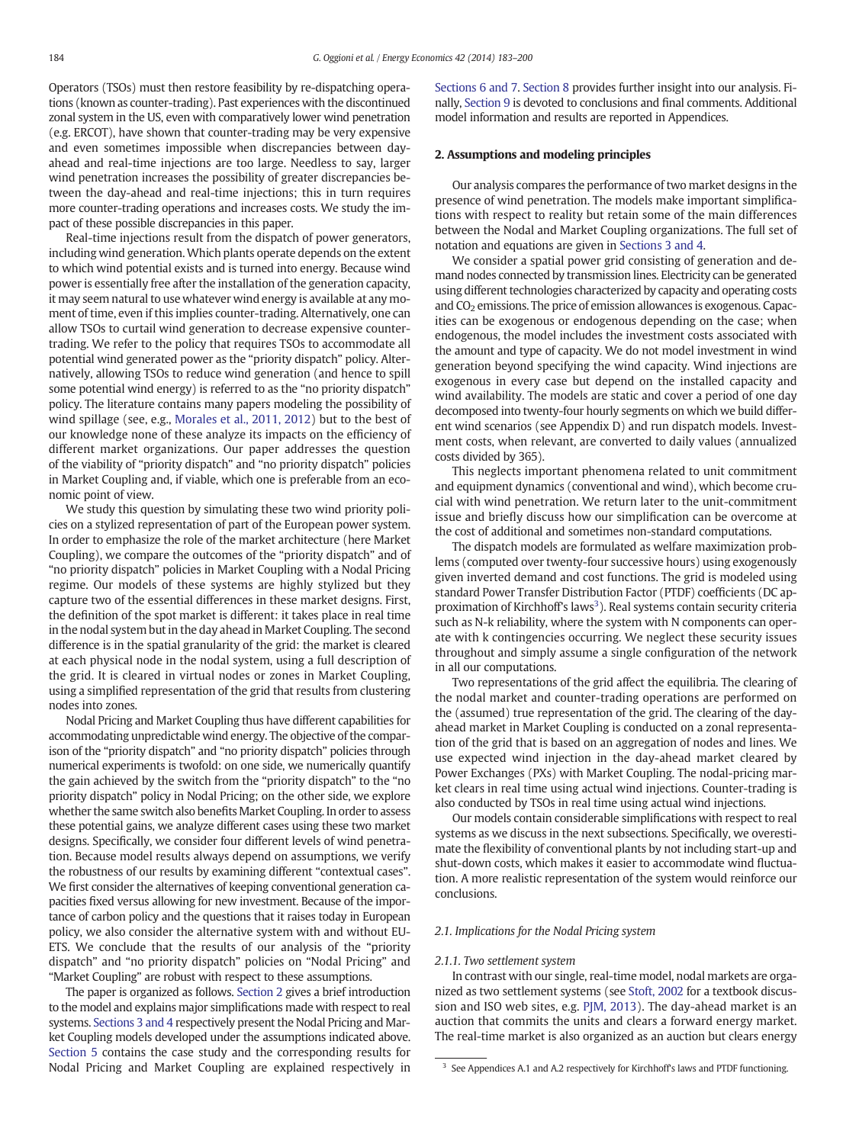Operators (TSOs) must then restore feasibility by re-dispatching operations (known as counter-trading). Past experiences with the discontinued zonal system in the US, even with comparatively lower wind penetration (e.g. ERCOT), have shown that counter-trading may be very expensive and even sometimes impossible when discrepancies between dayahead and real-time injections are too large. Needless to say, larger wind penetration increases the possibility of greater discrepancies between the day-ahead and real-time injections; this in turn requires more counter-trading operations and increases costs. We study the impact of these possible discrepancies in this paper.

Real-time injections result from the dispatch of power generators, including wind generation. Which plants operate depends on the extent to which wind potential exists and is turned into energy. Because wind power is essentially free after the installation of the generation capacity, it may seem natural to use whatever wind energy is available at any moment of time, even if this implies counter-trading. Alternatively, one can allow TSOs to curtail wind generation to decrease expensive countertrading. We refer to the policy that requires TSOs to accommodate all potential wind generated power as the "priority dispatch" policy. Alternatively, allowing TSOs to reduce wind generation (and hence to spill some potential wind energy) is referred to as the "no priority dispatch" policy. The literature contains many papers modeling the possibility of wind spillage (see, e.g., [Morales et al., 2011, 2012\)](#page--1-0) but to the best of our knowledge none of these analyze its impacts on the efficiency of different market organizations. Our paper addresses the question of the viability of "priority dispatch" and "no priority dispatch" policies in Market Coupling and, if viable, which one is preferable from an economic point of view.

We study this question by simulating these two wind priority policies on a stylized representation of part of the European power system. In order to emphasize the role of the market architecture (here Market Coupling), we compare the outcomes of the "priority dispatch" and of "no priority dispatch" policies in Market Coupling with a Nodal Pricing regime. Our models of these systems are highly stylized but they capture two of the essential differences in these market designs. First, the definition of the spot market is different: it takes place in real time in the nodal system but in the day ahead in Market Coupling. The second difference is in the spatial granularity of the grid: the market is cleared at each physical node in the nodal system, using a full description of the grid. It is cleared in virtual nodes or zones in Market Coupling, using a simplified representation of the grid that results from clustering nodes into zones.

Nodal Pricing and Market Coupling thus have different capabilities for accommodating unpredictable wind energy. The objective of the comparison of the "priority dispatch" and "no priority dispatch" policies through numerical experiments is twofold: on one side, we numerically quantify the gain achieved by the switch from the "priority dispatch" to the "no priority dispatch" policy in Nodal Pricing; on the other side, we explore whether the same switch also benefits Market Coupling. In order to assess these potential gains, we analyze different cases using these two market designs. Specifically, we consider four different levels of wind penetration. Because model results always depend on assumptions, we verify the robustness of our results by examining different "contextual cases". We first consider the alternatives of keeping conventional generation capacities fixed versus allowing for new investment. Because of the importance of carbon policy and the questions that it raises today in European policy, we also consider the alternative system with and without EU-ETS. We conclude that the results of our analysis of the "priority dispatch" and "no priority dispatch" policies on "Nodal Pricing" and "Market Coupling" are robust with respect to these assumptions.

The paper is organized as follows. Section 2 gives a brief introduction to the model and explains major simplifications made with respect to real systems. [Sections 3 and 4](#page--1-0) respectively present the Nodal Pricing and Market Coupling models developed under the assumptions indicated above. Section 5 contains the case study and the corresponding results for Nodal Pricing and Market Coupling are explained respectively in

[Sections 6 and 7.](#page--1-0) Section 8 provides further insight into our analysis. Finally, Section 9 is devoted to conclusions and final comments. Additional model information and results are reported in Appendices.

#### 2. Assumptions and modeling principles

Our analysis compares the performance of two market designs in the presence of wind penetration. The models make important simplifications with respect to reality but retain some of the main differences between the Nodal and Market Coupling organizations. The full set of notation and equations are given in [Sections 3 and 4.](#page--1-0)

We consider a spatial power grid consisting of generation and demand nodes connected by transmission lines. Electricity can be generated using different technologies characterized by capacity and operating costs and  $CO<sub>2</sub>$  emissions. The price of emission allowances is exogenous. Capacities can be exogenous or endogenous depending on the case; when endogenous, the model includes the investment costs associated with the amount and type of capacity. We do not model investment in wind generation beyond specifying the wind capacity. Wind injections are exogenous in every case but depend on the installed capacity and wind availability. The models are static and cover a period of one day decomposed into twenty-four hourly segments on which we build different wind scenarios (see Appendix D) and run dispatch models. Investment costs, when relevant, are converted to daily values (annualized costs divided by 365).

This neglects important phenomena related to unit commitment and equipment dynamics (conventional and wind), which become crucial with wind penetration. We return later to the unit-commitment issue and briefly discuss how our simplification can be overcome at the cost of additional and sometimes non-standard computations.

The dispatch models are formulated as welfare maximization problems (computed over twenty-four successive hours) using exogenously given inverted demand and cost functions. The grid is modeled using standard Power Transfer Distribution Factor (PTDF) coefficients (DC approximation of Kirchhoff's laws<sup>3</sup>). Real systems contain security criteria such as N-k reliability, where the system with N components can operate with k contingencies occurring. We neglect these security issues throughout and simply assume a single configuration of the network in all our computations.

Two representations of the grid affect the equilibria. The clearing of the nodal market and counter-trading operations are performed on the (assumed) true representation of the grid. The clearing of the dayahead market in Market Coupling is conducted on a zonal representation of the grid that is based on an aggregation of nodes and lines. We use expected wind injection in the day-ahead market cleared by Power Exchanges (PXs) with Market Coupling. The nodal-pricing market clears in real time using actual wind injections. Counter-trading is also conducted by TSOs in real time using actual wind injections.

Our models contain considerable simplifications with respect to real systems as we discuss in the next subsections. Specifically, we overestimate the flexibility of conventional plants by not including start-up and shut-down costs, which makes it easier to accommodate wind fluctuation. A more realistic representation of the system would reinforce our conclusions.

#### 2.1. Implications for the Nodal Pricing system

#### 2.1.1. Two settlement system

In contrast with our single, real-time model, nodal markets are organized as two settlement systems (see Stoft, 2002 for a textbook discussion and ISO web sites, e.g. PJM, 2013). The day-ahead market is an auction that commits the units and clears a forward energy market. The real-time market is also organized as an auction but clears energy

<sup>&</sup>lt;sup>3</sup> See Appendices A.1 and A.2 respectively for Kirchhoff's laws and PTDF functioning.